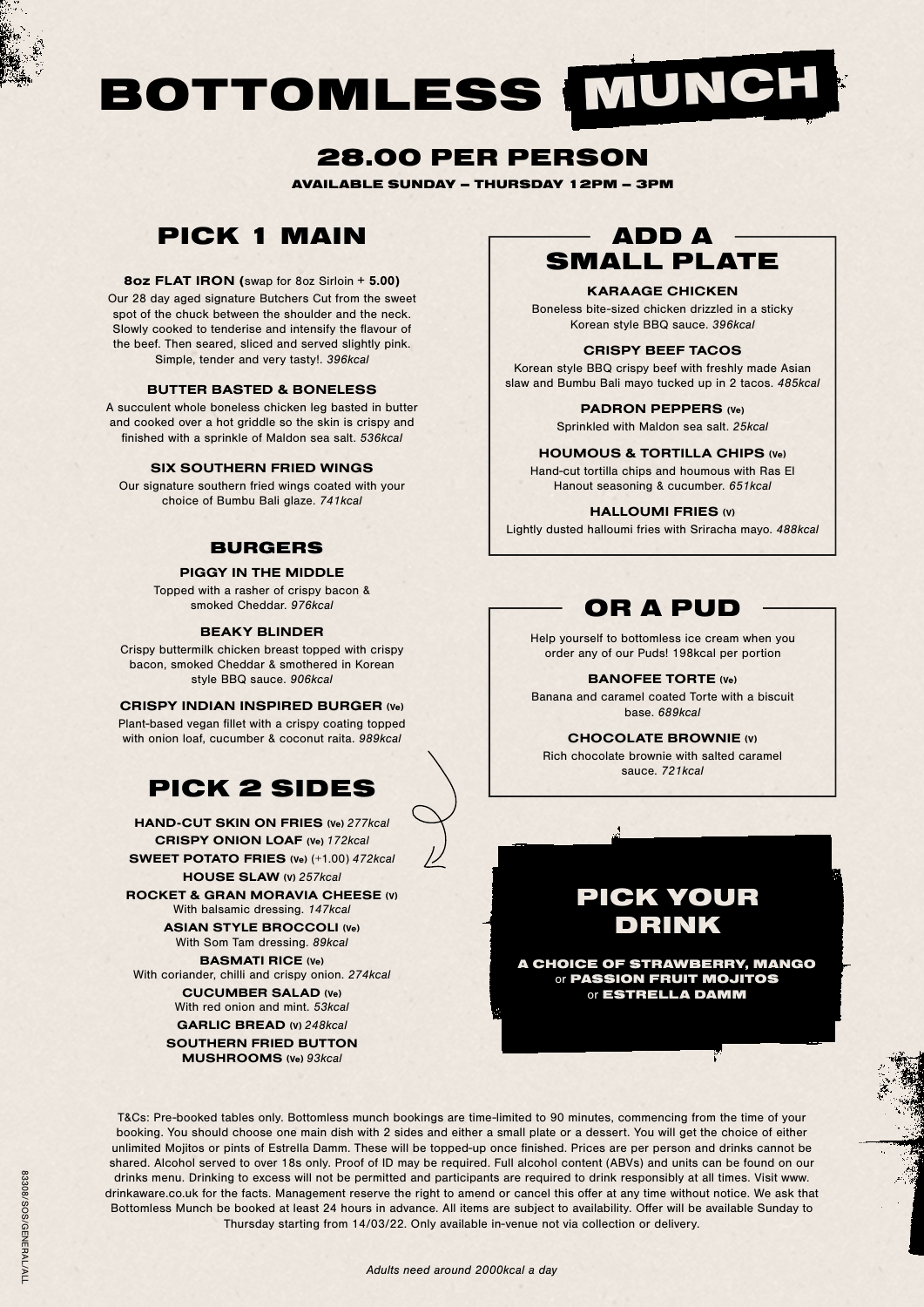# BOTTOMLESS MUNCH

# 28.00 PER PERSON

AVAILABLE SUNDAY – THURSDAY 12PM – 3PM

# PICK 1 MAIN

# 8oz FLAT IRON (swap for 8oz Sirloin + 5.00)

Our 28 day aged signature Butchers Cut from the sweet spot of the chuck between the shoulder and the neck. Slowly cooked to tenderise and intensify the flavour of the beef. Then seared, sliced and served slightly pink. Simple, tender and very tasty!. *396kcal*

#### BUTTER BASTED & BONELESS

A succulent whole boneless chicken leg basted in butter and cooked over a hot griddle so the skin is crispy and finished with a sprinkle of Maldon sea salt. *536kcal*

# SIX SOUTHERN FRIED WINGS

Our signature southern fried wings coated with your choice of Bumbu Bali glaze. *741kcal*

# BURGERS

#### PIGGY IN THE MIDDLE

Topped with a rasher of crispy bacon & smoked Cheddar. *976kcal*

#### BEAKY BLINDER

Crispy buttermilk chicken breast topped with crispy bacon, smoked Cheddar & smothered in Korean style BBQ sauce. *906kcal*

# CRISPY INDIAN INSPIRED BURGER (Ve)

Plant-based vegan fillet with a crispy coating topped with onion loaf, cucumber & coconut raita. *989kcal*

# PICK 2 SIDES

HAND-CUT SKIN ON FRIES (Ve) *277kcal* CRISPY ONION LOAF (Ve) *172kcal* HOUSE SLAW (V) *257kcal* ASIAN STYLE BROCCOLI (Ve) With Som Tam dressing. *89kcal* SWEET POTATO FRIES (Ve) (+1.00) *472kcal* BASMATI RICE (Ve) With coriander, chilli and crispy onion. *274kcal* ROCKET & GRAN MORAVIA CHEESE (V) With balsamic dressing. *147kcal*

> CUCUMBER SALAD (Ve) With red onion and mint. *53kcal* GARLIC BREAD (V) *248kcal*

SOUTHERN FRIED BUTTON MUSHROOMS (Ve) *93kcal*

# SMALL PLATE ADD A

# KARAAGE CHICKEN

Boneless bite-sized chicken drizzled in a sticky Korean style BBQ sauce. *396kcal*

# CRISPY BEEF TACOS

Korean style BBQ crispy beef with freshly made Asian slaw and Bumbu Bali mayo tucked up in 2 tacos. *485kcal*

#### PADRON PEPPERS (Ve)

Sprinkled with Maldon sea salt. *25kcal*

## HOUMOUS & TORTILLA CHIPS (Ve)

Hand-cut tortilla chips and houmous with Ras El Hanout seasoning & cucumber. *651kcal*

#### HALLOUMI FRIES (V)

Lightly dusted halloumi fries with Sriracha mayo. *488kcal*

# OR A PUD

Help yourself to bottomless ice cream when you order any of our Puds! 198kcal per portion

BANOFEE TORTE (Ve) Banana and caramel coated Torte with a biscuit base. *689kcal*

### CHOCOLATE BROWNIE (V)

Rich chocolate brownie with salted caramel sauce. *721kcal*



A CHOICE OF STRAWBERRY, MANGO or PASSION FRUIT MOJITOS or ESTRELLA DAMM

T&Cs: Pre-booked tables only. Bottomless munch bookings are time-limited to 90 minutes, commencing from the time of your booking. You should choose one main dish with 2 sides and either a small plate or a dessert. You will get the choice of either unlimited Mojitos or pints of Estrella Damm. These will be topped-up once finished. Prices are per person and drinks cannot be shared. Alcohol served to over 18s only. Proof of ID may be required. Full alcohol content (ABVs) and units can be found on our drinks menu. Drinking to excess will not be permitted and participants are required to drink responsibly at all times. Visit www. drinkaware.co.uk for the facts. Management reserve the right to amend or cancel this offer at any time without notice. We ask that Bottomless Munch be booked at least 24 hours in advance. All items are subject to availability. Offer will be available Sunday to Thursday starting from 14/03/22. Only available in-venue not via collection or delivery.